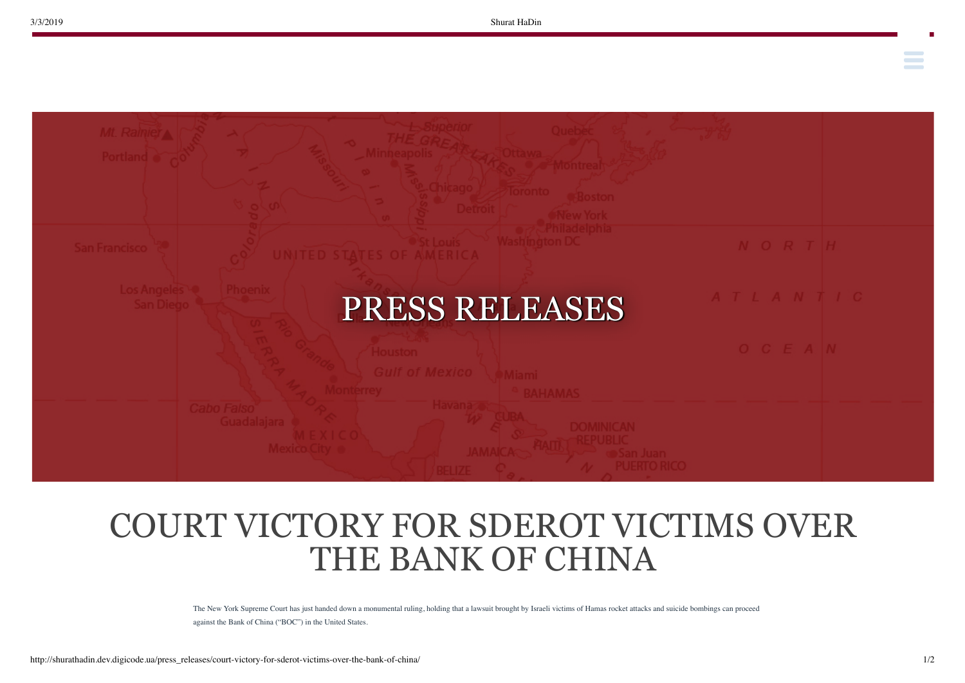**Contract Contract** 



## COURT VICTORY FOR SDEROT VICTIMS OVER THE BANK OF CHINA

The New York Supreme Court has just handed down a monumental ruling, holding that a lawsuit brought by Israeli victims of Hamas rocket attacks and suicide bombings can proceed against the Bank of China ("BOC") in the United States.